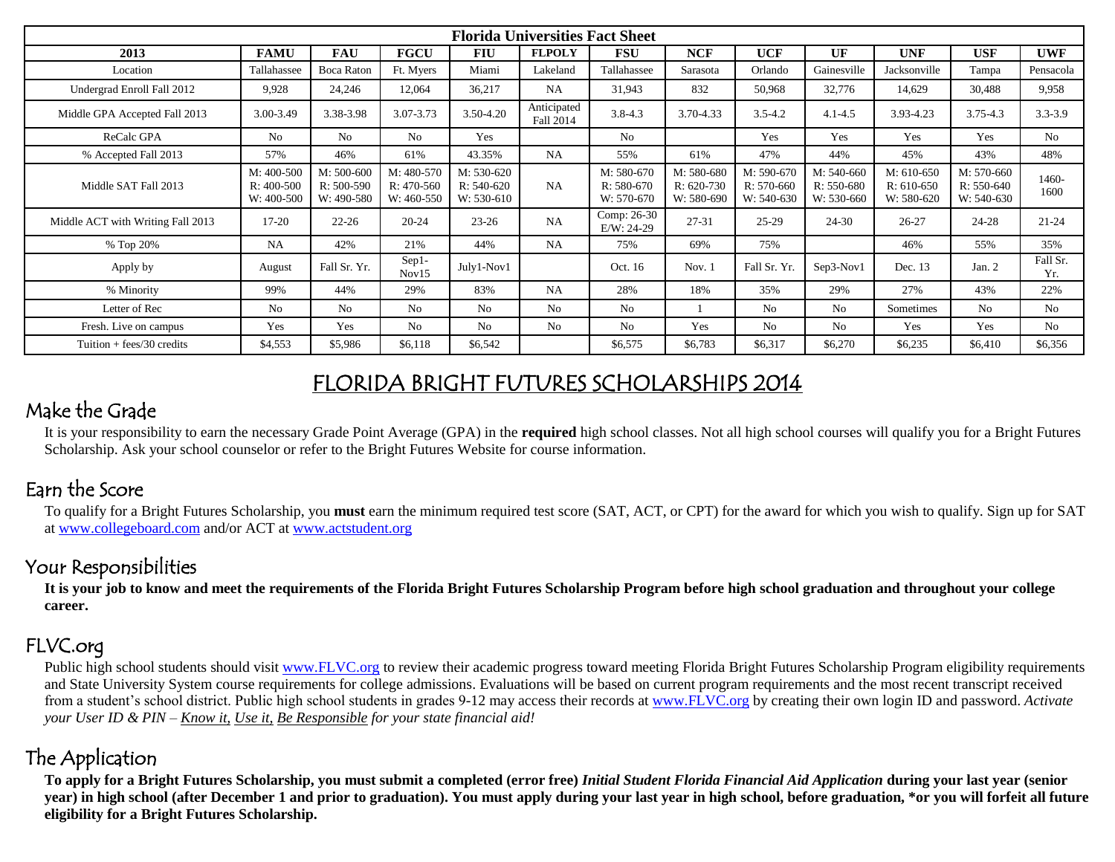| <b>Florida Universities Fact Sheet</b> |                                          |                                            |                                          |                                          |                          |                                          |                                          |                                          |                                          |                                          |                                          |                 |
|----------------------------------------|------------------------------------------|--------------------------------------------|------------------------------------------|------------------------------------------|--------------------------|------------------------------------------|------------------------------------------|------------------------------------------|------------------------------------------|------------------------------------------|------------------------------------------|-----------------|
| 2013                                   | <b>FAMU</b>                              | <b>FAU</b>                                 | <b>FGCU</b>                              | <b>FIU</b>                               | <b>FLPOLY</b>            | <b>FSU</b>                               | <b>NCF</b>                               | <b>UCF</b>                               | UF                                       | <b>UNF</b>                               | <b>USF</b>                               | <b>UWF</b>      |
| Location                               | Tallahassee                              | <b>Boca Raton</b>                          | Ft. Myers                                | Miami                                    | Lakeland                 | Tallahassee                              | Sarasota                                 | Orlando                                  | Gainesville                              | Jacksonville                             | Tampa                                    | Pensacola       |
| Undergrad Enroll Fall 2012             | 9,928                                    | 24,246                                     | 12,064                                   | 36,217                                   | NA                       | 31,943                                   | 832                                      | 50,968                                   | 32,776                                   | 14,629                                   | 30,488                                   | 9,958           |
| Middle GPA Accepted Fall 2013          | 3.00-3.49                                | 3.38-3.98                                  | 3.07-3.73                                | 3.50-4.20                                | Anticipated<br>Fall 2014 | $3.8 - 4.3$                              | 3.70-4.33                                | $3.5 - 4.2$                              | $4.1 - 4.5$                              | 3.93-4.23                                | $3.75 - 4.3$                             | $3.3 - 3.9$     |
| ReCalc GPA                             | No                                       | <b>No</b>                                  | No                                       | Yes                                      |                          | No                                       |                                          | Yes                                      | Yes                                      | Yes                                      | Yes                                      | N <sub>o</sub>  |
| % Accepted Fall 2013                   | 57%                                      | 46%                                        | 61%                                      | 43.35%                                   | NA                       | 55%                                      | 61%                                      | 47%                                      | 44%                                      | 45%                                      | 43%                                      | 48%             |
| Middle SAT Fall 2013                   | M: 400-500<br>$R: 400-500$<br>W: 400-500 | $M: 500-600$<br>$R: 500-590$<br>W: 490-580 | M: 480-570<br>$R: 470-560$<br>W: 460-550 | M: 530-620<br>$R: 540-620$<br>W: 530-610 | <b>NA</b>                | M: 580-670<br>$R: 580-670$<br>W: 570-670 | M: 580-680<br>$R: 620-730$<br>W: 580-690 | M: 590-670<br>$R: 570-660$<br>W: 540-630 | M: 540-660<br>$R: 550-680$<br>W: 530-660 | M: 610-650<br>$R: 610-650$<br>W: 580-620 | M: 570-660<br>$R: 550-640$<br>W: 540-630 | $1460-$<br>1600 |
| Middle ACT with Writing Fall 2013      | $17-20$                                  | $22 - 26$                                  | $20 - 24$                                | $23 - 26$                                | NA                       | Comp: 26-30<br>$E/W: 24-29$              | $27 - 31$                                | 25-29                                    | $24 - 30$                                | $26 - 27$                                | $24 - 28$                                | $21 - 24$       |
| % Top 20%                              | <b>NA</b>                                | 42%                                        | 21%                                      | 44%                                      | NA                       | 75%                                      | 69%                                      | 75%                                      |                                          | 46%                                      | 55%                                      | 35%             |
| Apply by                               | August                                   | Fall Sr. Yr.                               | $Sep1-$<br>Nov15                         | July1-Nov1                               |                          | Oct. 16                                  | Nov. 1                                   | Fall Sr. Yr.                             | Sep3-Nov1                                | Dec. 13                                  | Jan. $2$                                 | Fall Sr.<br>Yr. |
| % Minority                             | 99%                                      | 44%                                        | 29%                                      | 83%                                      | NA                       | 28%                                      | 18%                                      | 35%                                      | 29%                                      | 27%                                      | 43%                                      | 22%             |
| Letter of Rec                          | No                                       | No                                         | No                                       | No                                       | No                       | No                                       |                                          | No.                                      | No                                       | Sometimes                                | No                                       | N <sub>o</sub>  |
| Fresh. Live on campus                  | Yes                                      | Yes                                        | No                                       | No                                       | N <sub>o</sub>           | N <sub>0</sub>                           | Yes                                      | N <sub>0</sub>                           | N <sub>o</sub>                           | Yes                                      | Yes                                      | <b>No</b>       |
| Tuition $+$ fees/30 credits            | \$4,553                                  | \$5,986                                    | \$6,118                                  | \$6,542                                  |                          | \$6,575                                  | \$6,783                                  | \$6,317                                  | \$6,270                                  | \$6,235                                  | \$6,410                                  | \$6,356         |

# FLORIDA BRIGHT FUTURES SCHOLARSHIPS 2014

#### Make the Grade

It is your responsibility to earn the necessary Grade Point Average (GPA) in the **required** high school classes. Not all high school courses will qualify you for a Bright Futures Scholarship. Ask your school counselor or refer to the Bright Futures Website for course information.

## Earn the Score

To qualify for a Bright Futures Scholarship, you **must** earn the minimum required test score (SAT, ACT, or CPT) for the award for which you wish to qualify. Sign up for SAT a[t www.collegeboard.com](http://www.collegeboard.com/) and/or ACT at [www.actstudent.org](http://www.actstudent.org/)

#### Your Responsibilities

**It is your job to know and meet the requirements of the Florida Bright Futures Scholarship Program before high school graduation and throughout your college career.**

## FLVC.org

Public high school students should visi[t www.FLVC.org](http://www.flvc.org/) to review their academic progress toward meeting Florida Bright Futures Scholarship Program eligibility requirements and State University System course requirements for college admissions. Evaluations will be based on current program requirements and the most recent transcript received from a student's school district. Public high school students in grades 9-12 may access their records at [www.FLVC.org](http://www.flvc.org/) by creating their own login ID and password. *Activate your User ID & PIN – Know it, Use it, Be Responsible for your state financial aid!*

## The Application

**To apply for a Bright Futures Scholarship, you must submit a completed (error free)** *Initial Student Florida Financial Aid Application* **during your last year (senior year) in high school (after December 1 and prior to graduation). You must apply during your last year in high school, before graduation, \*or you will forfeit all future eligibility for a Bright Futures Scholarship.**